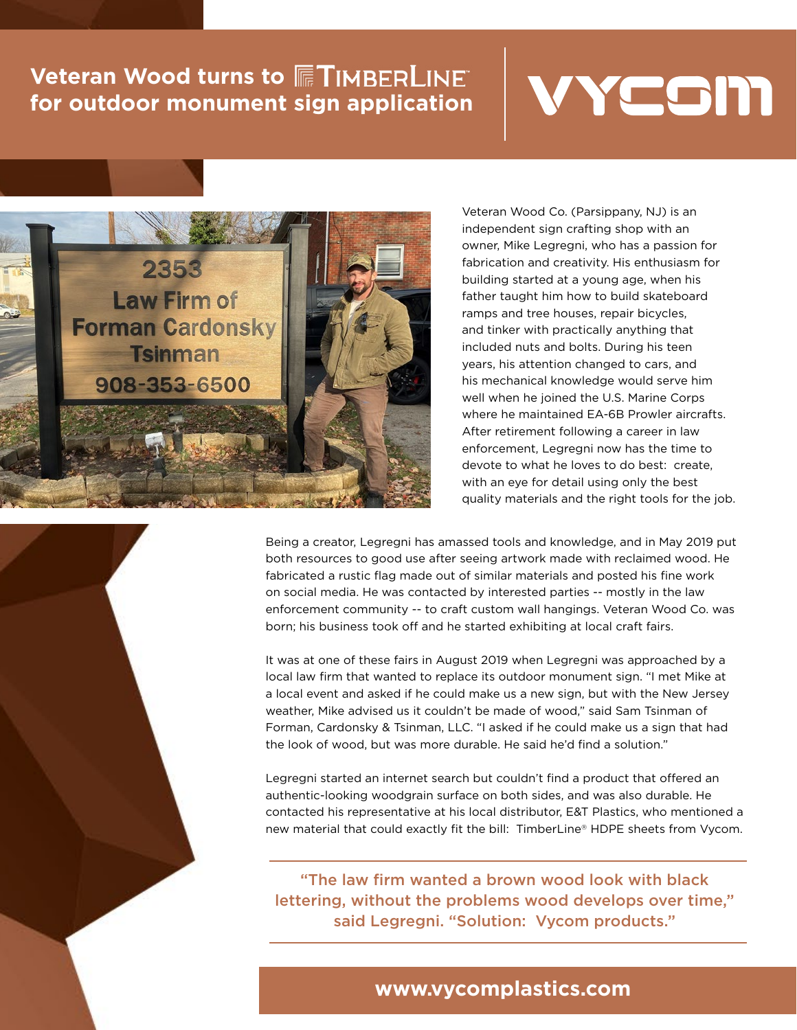## **Veteran Wood turns to FTIMBERLINE for outdoor monument sign application**





Veteran Wood Co. (Parsippany, NJ) is an independent sign crafting shop with an owner, Mike Legregni, who has a passion for fabrication and creativity. His enthusiasm for building started at a young age, when his father taught him how to build skateboard ramps and tree houses, repair bicycles, and tinker with practically anything that included nuts and bolts. During his teen years, his attention changed to cars, and his mechanical knowledge would serve him well when he joined the U.S. Marine Corps where he maintained EA-6B Prowler aircrafts. After retirement following a career in law enforcement, Legregni now has the time to devote to what he loves to do best: create, with an eye for detail using only the best quality materials and the right tools for the job.

Being a creator, Legregni has amassed tools and knowledge, and in May 2019 put both resources to good use after seeing artwork made with reclaimed wood. He fabricated a rustic flag made out of similar materials and posted his fine work on social media. He was contacted by interested parties -- mostly in the law enforcement community -- to craft custom wall hangings. Veteran Wood Co. was born; his business took off and he started exhibiting at local craft fairs.

It was at one of these fairs in August 2019 when Legregni was approached by a local law firm that wanted to replace its outdoor monument sign. "I met Mike at a local event and asked if he could make us a new sign, but with the New Jersey weather, Mike advised us it couldn't be made of wood," said Sam Tsinman of Forman, Cardonsky & Tsinman, LLC. "I asked if he could make us a sign that had the look of wood, but was more durable. He said he'd find a solution."

Legregni started an internet search but couldn't find a product that offered an authentic-looking woodgrain surface on both sides, and was also durable. He contacted his representative at his local distributor, E&T Plastics, who mentioned a new material that could exactly fit the bill: TimberLine® HDPE sheets from Vycom.

"The law firm wanted a brown wood look with black lettering, without the problems wood develops over time," said Legregni. "Solution: Vycom products."

## **www.vycomplastics.com**